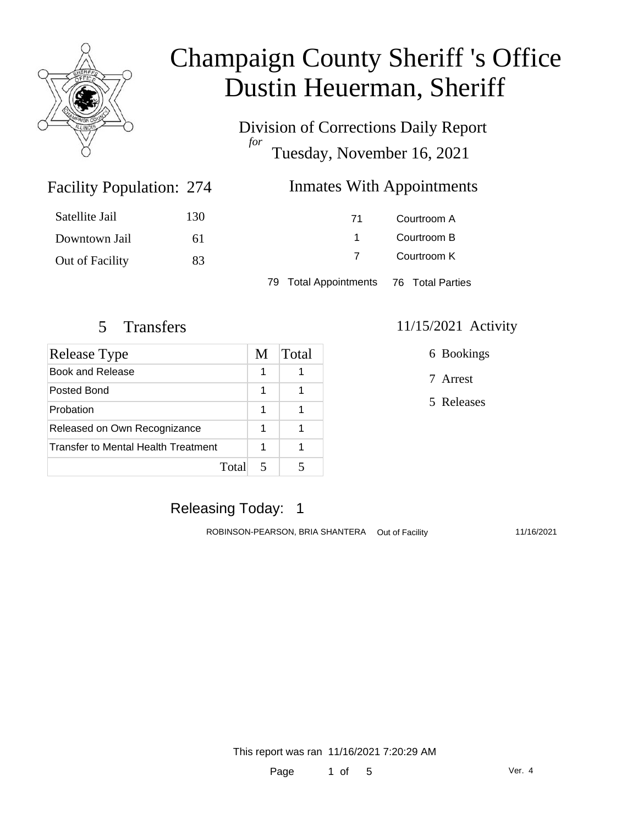

Division of Corrections Daily Report *for* Tuesday, November 16, 2021

### Facility Population: 274

### Inmates With Appointments

| Satellite Jail  | 130 | 71 | Courtroom A |
|-----------------|-----|----|-------------|
| Downtown Jail   | 61  |    | Courtroom B |
| Out of Facility | 83  |    | Courtroom K |
|                 |     |    |             |

79 Total Appointments 76 Total Parties

| <b>Release Type</b>                 | M | <b>Total</b> |
|-------------------------------------|---|--------------|
| Book and Release                    | 1 |              |
| Posted Bond                         | 1 |              |
| Probation                           | 1 |              |
| Released on Own Recognizance        | 1 |              |
| Transfer to Mental Health Treatment | 1 |              |
| Total                               |   |              |

#### 5 Transfers 11/15/2021 Activity

6 Bookings

7 Arrest

5 Releases

### Releasing Today: 1

ROBINSON-PEARSON, BRIA SHANTERA Out of Facility 11/16/2021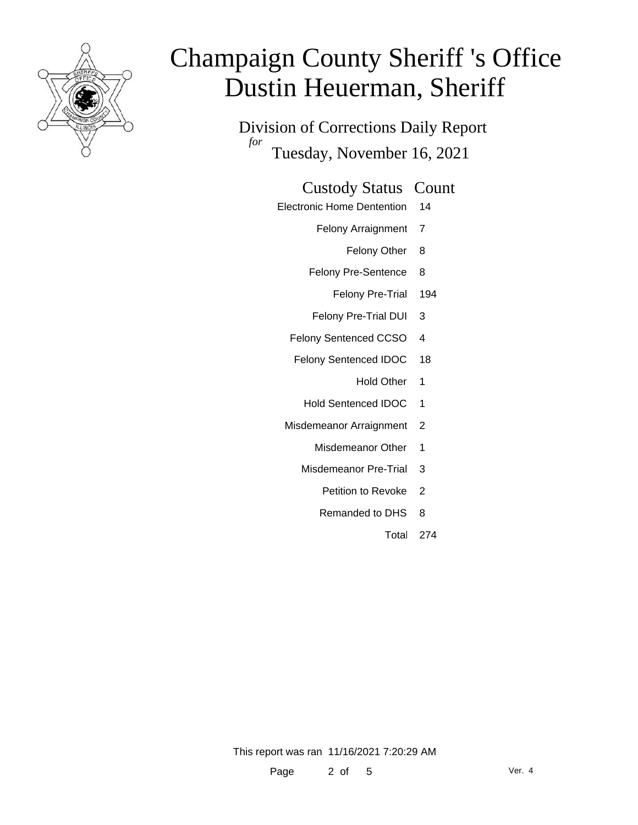

Division of Corrections Daily Report *for* Tuesday, November 16, 2021

#### Custody Status Count

- Electronic Home Dentention 14
	- Felony Arraignment 7
		- Felony Other 8
	- Felony Pre-Sentence 8
		- Felony Pre-Trial 194
	- Felony Pre-Trial DUI 3
	- Felony Sentenced CCSO 4
	- Felony Sentenced IDOC 18
		- Hold Other 1
		- Hold Sentenced IDOC 1
	- Misdemeanor Arraignment 2
		- Misdemeanor Other 1
		- Misdemeanor Pre-Trial 3
			- Petition to Revoke 2
			- Remanded to DHS 8
				- Total 274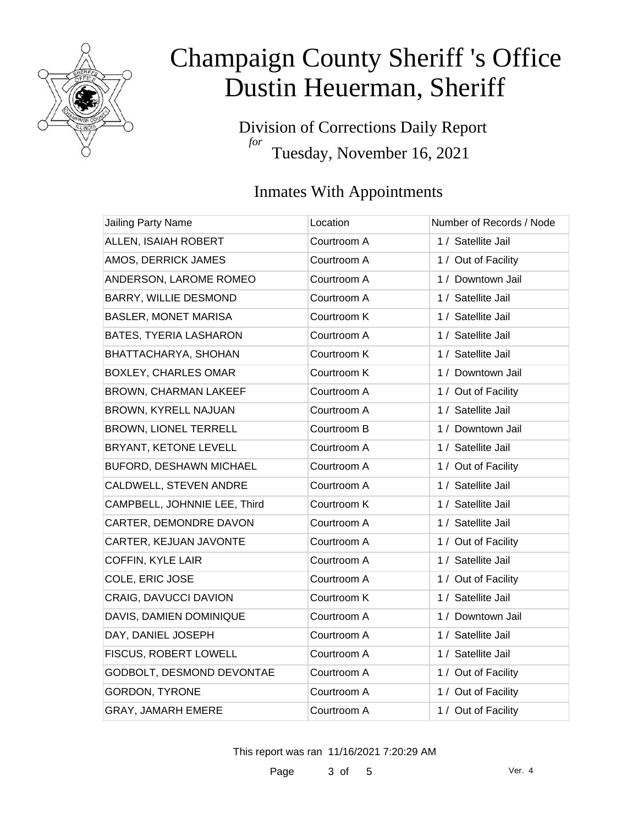

Division of Corrections Daily Report *for* Tuesday, November 16, 2021

### Inmates With Appointments

| Jailing Party Name           | Location    | Number of Records / Node |
|------------------------------|-------------|--------------------------|
| ALLEN, ISAIAH ROBERT         | Courtroom A | 1 / Satellite Jail       |
| AMOS, DERRICK JAMES          | Courtroom A | 1 / Out of Facility      |
| ANDERSON, LAROME ROMEO       | Courtroom A | 1 / Downtown Jail        |
| <b>BARRY, WILLIE DESMOND</b> | Courtroom A | 1 / Satellite Jail       |
| <b>BASLER, MONET MARISA</b>  | Courtroom K | 1 / Satellite Jail       |
| BATES, TYERIA LASHARON       | Courtroom A | 1 / Satellite Jail       |
| BHATTACHARYA, SHOHAN         | Courtroom K | 1 / Satellite Jail       |
| <b>BOXLEY, CHARLES OMAR</b>  | Courtroom K | 1 / Downtown Jail        |
| BROWN, CHARMAN LAKEEF        | Courtroom A | 1 / Out of Facility      |
| BROWN, KYRELL NAJUAN         | Courtroom A | 1 / Satellite Jail       |
| BROWN, LIONEL TERRELL        | Courtroom B | 1 / Downtown Jail        |
| BRYANT, KETONE LEVELL        | Courtroom A | 1 / Satellite Jail       |
| BUFORD, DESHAWN MICHAEL      | Courtroom A | 1 / Out of Facility      |
| CALDWELL, STEVEN ANDRE       | Courtroom A | 1 / Satellite Jail       |
| CAMPBELL, JOHNNIE LEE, Third | Courtroom K | 1 / Satellite Jail       |
| CARTER, DEMONDRE DAVON       | Courtroom A | 1 / Satellite Jail       |
| CARTER, KEJUAN JAVONTE       | Courtroom A | 1 / Out of Facility      |
| <b>COFFIN, KYLE LAIR</b>     | Courtroom A | 1 / Satellite Jail       |
| COLE, ERIC JOSE              | Courtroom A | 1 / Out of Facility      |
| CRAIG, DAVUCCI DAVION        | Courtroom K | 1 / Satellite Jail       |
| DAVIS, DAMIEN DOMINIQUE      | Courtroom A | 1 / Downtown Jail        |
| DAY, DANIEL JOSEPH           | Courtroom A | 1 / Satellite Jail       |
| FISCUS, ROBERT LOWELL        | Courtroom A | 1 / Satellite Jail       |
| GODBOLT, DESMOND DEVONTAE    | Courtroom A | 1 / Out of Facility      |
| <b>GORDON, TYRONE</b>        | Courtroom A | 1 / Out of Facility      |
| GRAY, JAMARH EMERE           | Courtroom A | 1 / Out of Facility      |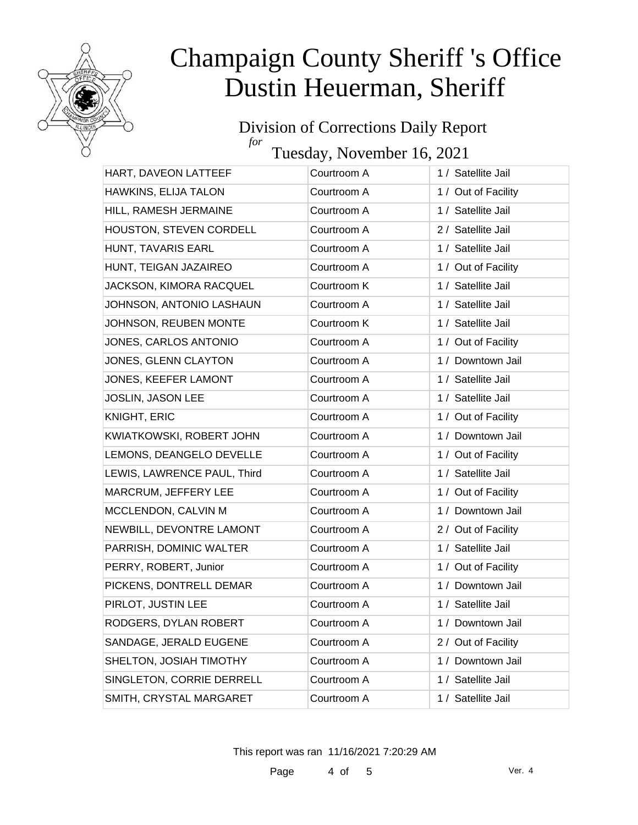

#### Division of Corrections Daily Report *for*

Tuesday, November 16, 2021

| HART, DAVEON LATTEEF        | Courtroom A | 1 / Satellite Jail  |
|-----------------------------|-------------|---------------------|
| HAWKINS, ELIJA TALON        | Courtroom A | 1 / Out of Facility |
| HILL, RAMESH JERMAINE       | Courtroom A | 1 / Satellite Jail  |
| HOUSTON, STEVEN CORDELL     | Courtroom A | 2 / Satellite Jail  |
| HUNT, TAVARIS EARL          | Courtroom A | 1 / Satellite Jail  |
| HUNT, TEIGAN JAZAIREO       | Courtroom A | 1 / Out of Facility |
| JACKSON, KIMORA RACQUEL     | Courtroom K | 1 / Satellite Jail  |
| JOHNSON, ANTONIO LASHAUN    | Courtroom A | 1 / Satellite Jail  |
| JOHNSON, REUBEN MONTE       | Courtroom K | 1 / Satellite Jail  |
| JONES, CARLOS ANTONIO       | Courtroom A | 1 / Out of Facility |
| JONES, GLENN CLAYTON        | Courtroom A | 1 / Downtown Jail   |
| JONES, KEEFER LAMONT        | Courtroom A | 1 / Satellite Jail  |
| JOSLIN, JASON LEE           | Courtroom A | 1 / Satellite Jail  |
| <b>KNIGHT, ERIC</b>         | Courtroom A | 1 / Out of Facility |
| KWIATKOWSKI, ROBERT JOHN    | Courtroom A | 1 / Downtown Jail   |
| LEMONS, DEANGELO DEVELLE    | Courtroom A | 1 / Out of Facility |
| LEWIS, LAWRENCE PAUL, Third | Courtroom A | 1 / Satellite Jail  |
| MARCRUM, JEFFERY LEE        | Courtroom A | 1 / Out of Facility |
| MCCLENDON, CALVIN M         | Courtroom A | 1 / Downtown Jail   |
| NEWBILL, DEVONTRE LAMONT    | Courtroom A | 2 / Out of Facility |
| PARRISH, DOMINIC WALTER     | Courtroom A | 1 / Satellite Jail  |
| PERRY, ROBERT, Junior       | Courtroom A | 1 / Out of Facility |
| PICKENS, DONTRELL DEMAR     | Courtroom A | 1 / Downtown Jail   |
| PIRLOT, JUSTIN LEE          | Courtroom A | 1 / Satellite Jail  |
| RODGERS, DYLAN ROBERT       | Courtroom A | 1 / Downtown Jail   |
| SANDAGE, JERALD EUGENE      | Courtroom A | 2 / Out of Facility |
| SHELTON, JOSIAH TIMOTHY     | Courtroom A | 1 / Downtown Jail   |
| SINGLETON, CORRIE DERRELL   | Courtroom A | 1 / Satellite Jail  |
| SMITH, CRYSTAL MARGARET     | Courtroom A | 1 / Satellite Jail  |